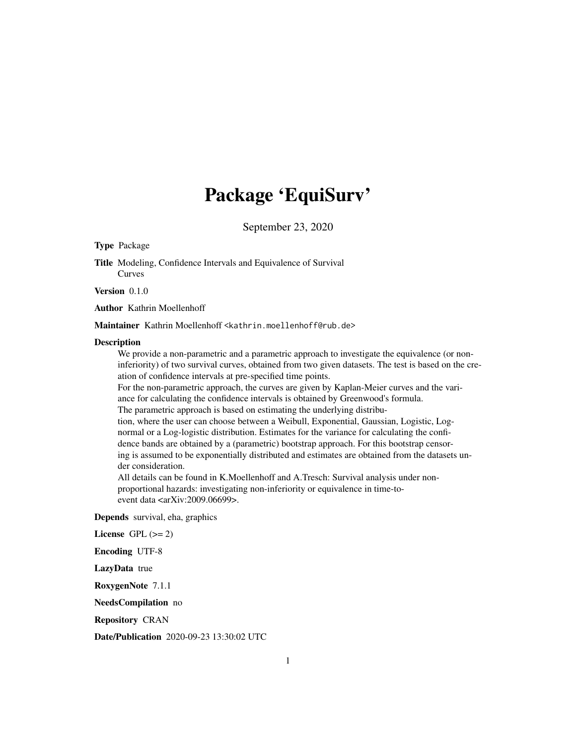## Package 'EquiSurv'

September 23, 2020

#### Type Package

Title Modeling, Confidence Intervals and Equivalence of Survival Curves

Version 0.1.0

Author Kathrin Moellenhoff

Maintainer Kathrin Moellenhoff <kathrin.moellenhoff@rub.de>

#### Description

We provide a non-parametric and a parametric approach to investigate the equivalence (or noninferiority) of two survival curves, obtained from two given datasets. The test is based on the creation of confidence intervals at pre-specified time points.

For the non-parametric approach, the curves are given by Kaplan-Meier curves and the variance for calculating the confidence intervals is obtained by Greenwood's formula.

The parametric approach is based on estimating the underlying distribu-

tion, where the user can choose between a Weibull, Exponential, Gaussian, Logistic, Lognormal or a Log-logistic distribution. Estimates for the variance for calculating the confidence bands are obtained by a (parametric) bootstrap approach. For this bootstrap censoring is assumed to be exponentially distributed and estimates are obtained from the datasets under consideration.

All details can be found in K.Moellenhoff and A.Tresch: Survival analysis under nonproportional hazards: investigating non-inferiority or equivalence in time-toevent data <arXiv:2009.06699>.

Depends survival, eha, graphics

License GPL  $(>= 2)$ 

Encoding UTF-8

LazyData true

RoxygenNote 7.1.1

NeedsCompilation no

Repository CRAN

Date/Publication 2020-09-23 13:30:02 UTC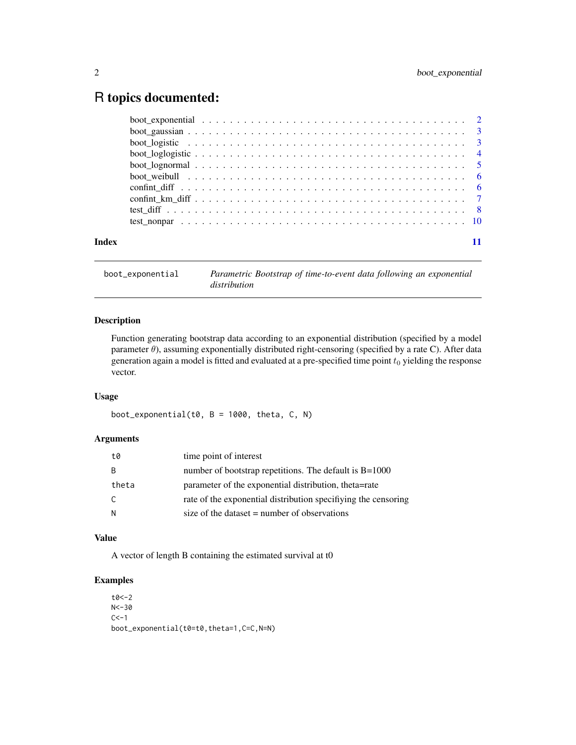### <span id="page-1-0"></span>R topics documented:

| Index |  |
|-------|--|

boot\_exponential *Parametric Bootstrap of time-to-event data following an exponential distribution*

#### Description

Function generating bootstrap data according to an exponential distribution (specified by a model parameter  $\theta$ ), assuming exponentially distributed right-censoring (specified by a rate C). After data generation again a model is fitted and evaluated at a pre-specified time point  $t_0$  yielding the response vector.

#### Usage

boot\_exponential(t0,  $B = 1000$ , theta, C, N)

#### Arguments

| t0    | time point of interest                                         |
|-------|----------------------------------------------------------------|
| -B    | number of bootstrap repetitions. The default is $B=1000$       |
| theta | parameter of the exponential distribution, theta=rate          |
| C.    | rate of the exponential distribution specifiying the censoring |
| N     | size of the dataset $=$ number of observations                 |
|       |                                                                |

#### Value

A vector of length B containing the estimated survival at t0

#### Examples

```
t0<-2N < -30C < -1boot_exponential(t0=t0,theta=1,C=C,N=N)
```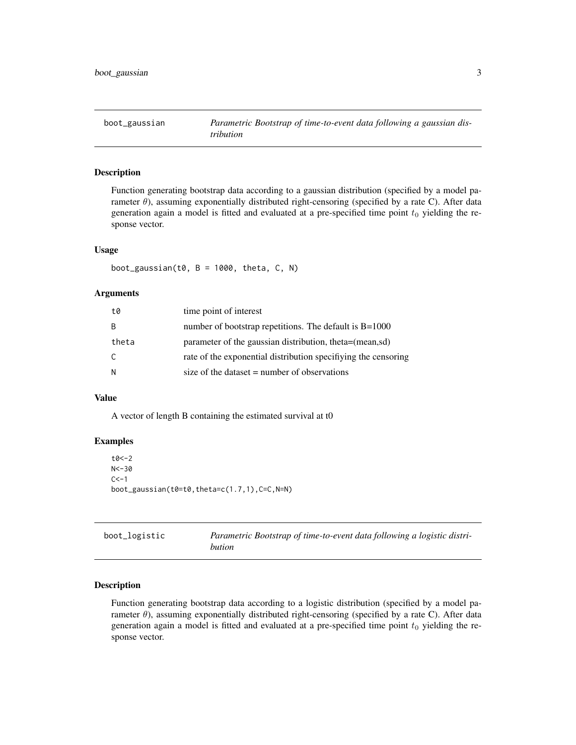<span id="page-2-0"></span>boot\_gaussian *Parametric Bootstrap of time-to-event data following a gaussian distribution*

#### Description

Function generating bootstrap data according to a gaussian distribution (specified by a model parameter  $\theta$ ), assuming exponentially distributed right-censoring (specified by a rate C). After data generation again a model is fitted and evaluated at a pre-specified time point  $t_0$  yielding the response vector.

#### Usage

boot\_gaussian(t0,  $B = 1000$ , theta,  $C$ , N)

#### Arguments

| t0    | time point of interest                                         |
|-------|----------------------------------------------------------------|
| B     | number of bootstrap repetitions. The default is $B=1000$       |
| theta | parameter of the gaussian distribution, theta=(mean,sd)        |
| C     | rate of the exponential distribution specifiying the censoring |
| N     | size of the dataset $=$ number of observations                 |

#### Value

A vector of length B containing the estimated survival at t0

#### Examples

```
t0<-2N < -30C < -1boot_gaussian(t0=t0,theta=c(1.7,1),C=C,N=N)
```

| boot_logistic | Parametric Bootstrap of time-to-event data following a logistic distri- |
|---------------|-------------------------------------------------------------------------|
|               | bution                                                                  |

#### Description

Function generating bootstrap data according to a logistic distribution (specified by a model parameter  $\theta$ ), assuming exponentially distributed right-censoring (specified by a rate C). After data generation again a model is fitted and evaluated at a pre-specified time point  $t_0$  yielding the response vector.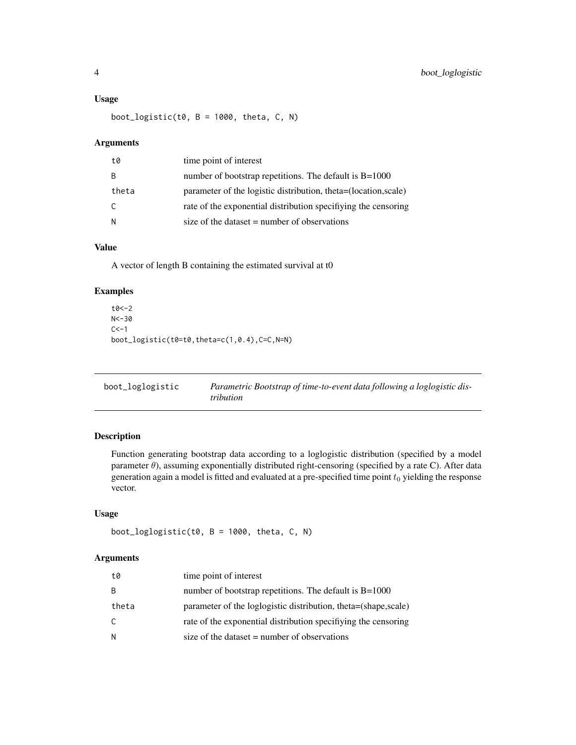#### <span id="page-3-0"></span>Usage

boot\_logistic(t0,  $B = 1000$ , theta, C, N)

#### Arguments

| t0    | time point of interest                                          |
|-------|-----------------------------------------------------------------|
|       | number of bootstrap repetitions. The default is $B=1000$        |
| theta | parameter of the logistic distribution, theta=(location, scale) |
| C.    | rate of the exponential distribution specifiying the censoring  |
| N     | size of the dataset $=$ number of observations                  |

#### Value

A vector of length B containing the estimated survival at t0

#### Examples

```
t0<-2
N < -30C < -1boot_logistic(t0=t0,theta=c(1,0.4),C=C,N=N)
```

| boot_loglogistic | Parametric Bootstrap of time-to-event data following a loglogistic dis- |
|------------------|-------------------------------------------------------------------------|
|                  | tribution                                                               |

#### Description

Function generating bootstrap data according to a loglogistic distribution (specified by a model parameter  $\theta$ ), assuming exponentially distributed right-censoring (specified by a rate C). After data generation again a model is fitted and evaluated at a pre-specified time point  $t_0$  yielding the response vector.

#### Usage

```
boot_loglogistic(t0, B = 1000, theta, C, N)
```
#### Arguments

| t0    | time point of interest                                          |
|-------|-----------------------------------------------------------------|
| B     | number of bootstrap repetitions. The default is $B=1000$        |
| theta | parameter of the loglogistic distribution, theta=(shape, scale) |
| C     | rate of the exponential distribution specifiying the censoring  |
| N     | size of the dataset $=$ number of observations                  |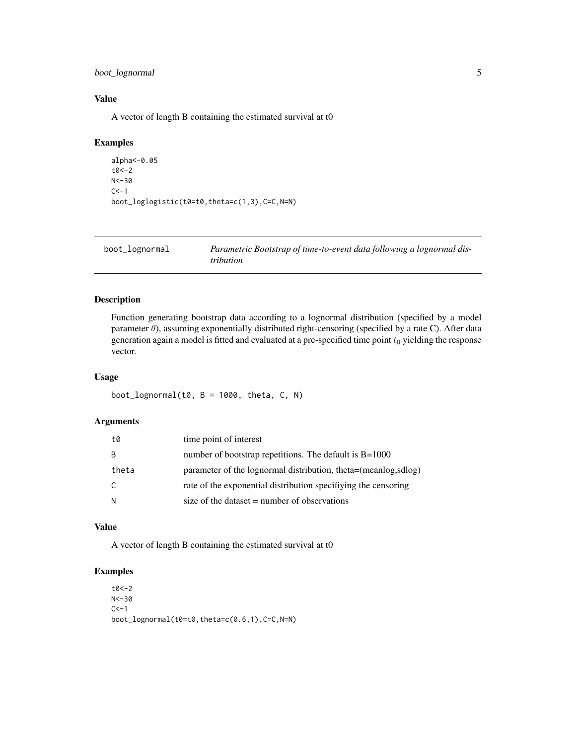#### <span id="page-4-0"></span>boot\_lognormal 5

#### Value

A vector of length B containing the estimated survival at t0

#### Examples

```
alpha<-0.05
t0<-2
N < -30C < -1boot_loglogistic(t0=t0,theta=c(1,3),C=C,N=N)
```

| boot_lognormal | Parametric Bootstrap of time-to-event data following a lognormal dis- |
|----------------|-----------------------------------------------------------------------|
|                | <i>tribution</i>                                                      |

#### Description

Function generating bootstrap data according to a lognormal distribution (specified by a model parameter  $\theta$ ), assuming exponentially distributed right-censoring (specified by a rate C). After data generation again a model is fitted and evaluated at a pre-specified time point  $t_0$  yielding the response vector.

#### Usage

boot\_lognormal(t0,  $B = 1000$ , theta,  $C$ , N)

#### Arguments

| t0    | time point of interest                                          |
|-------|-----------------------------------------------------------------|
| B     | number of bootstrap repetitions. The default is $B=1000$        |
| theta | parameter of the lognormal distribution, theta=(meanlog, sdlog) |
| C     | rate of the exponential distribution specifiving the censoring  |
| N     | size of the dataset $=$ number of observations                  |

#### Value

A vector of length B containing the estimated survival at t0

#### Examples

t0<-2  $N < -30$  $C < -1$ boot\_lognormal(t0=t0,theta=c(0.6,1),C=C,N=N)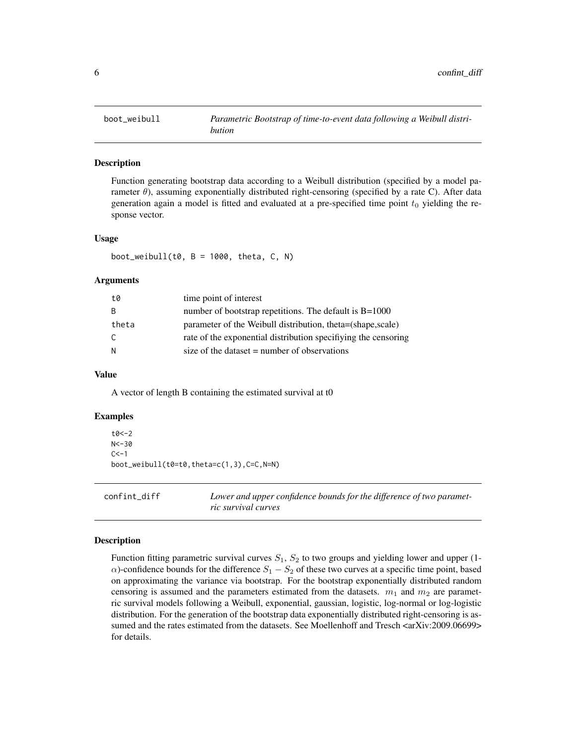<span id="page-5-0"></span>

#### Description

Function generating bootstrap data according to a Weibull distribution (specified by a model parameter  $\theta$ ), assuming exponentially distributed right-censoring (specified by a rate C). After data generation again a model is fitted and evaluated at a pre-specified time point  $t_0$  yielding the response vector.

#### Usage

boot\_weibull(t0,  $B = 1000$ , theta,  $C$ , N)

#### Arguments

| t0    | time point of interest                                         |
|-------|----------------------------------------------------------------|
| -B    | number of bootstrap repetitions. The default is $B=1000$       |
| theta | parameter of the Weibull distribution, theta=(shape, scale)    |
| C.    | rate of the exponential distribution specifiying the censoring |
| -N    | size of the dataset $=$ number of observations                 |

#### Value

A vector of length B containing the estimated survival at t0

#### Examples

```
t0<-2N < -30C < -1boot_weibull(t0=t0,theta=c(1,3),C=C,N=N)
```
confint\_diff *Lower and upper confidence bounds for the difference of two parametric survival curves*

#### Description

Function fitting parametric survival curves  $S_1$ ,  $S_2$  to two groups and yielding lower and upper (1- $\alpha$ )-confidence bounds for the difference  $S_1 - S_2$  of these two curves at a specific time point, based on approximating the variance via bootstrap. For the bootstrap exponentially distributed random censoring is assumed and the parameters estimated from the datasets.  $m_1$  and  $m_2$  are parametric survival models following a Weibull, exponential, gaussian, logistic, log-normal or log-logistic distribution. For the generation of the bootstrap data exponentially distributed right-censoring is assumed and the rates estimated from the datasets. See Moellenhoff and Tresch <arXiv:2009.06699> for details.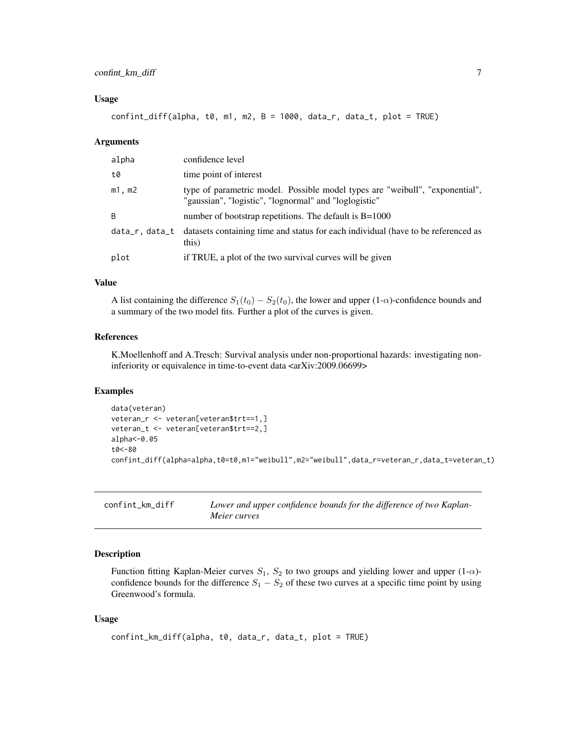#### <span id="page-6-0"></span>Usage

 $confint_diff(alpha, to, m1, m2, B = 1000, data_r, data_t, plot = TRUE)$ 

#### Arguments

| alpha       | confidence level                                                                                                                      |
|-------------|---------------------------------------------------------------------------------------------------------------------------------------|
| t0          | time point of interest                                                                                                                |
| $m1$ , $m2$ | type of parametric model. Possible model types are "weibull", "exponential",<br>"gaussian", "logistic", "lognormal" and "loglogistic" |
| B           | number of bootstrap repetitions. The default is $B=1000$                                                                              |
|             | data_r, data_t datasets containing time and status for each individual (have to be referenced as<br>this)                             |
| plot        | if TRUE, a plot of the two survival curves will be given                                                                              |

#### Value

A list containing the difference  $S_1(t_0) - S_2(t_0)$ , the lower and upper (1- $\alpha$ )-confidence bounds and a summary of the two model fits. Further a plot of the curves is given.

#### References

K.Moellenhoff and A.Tresch: Survival analysis under non-proportional hazards: investigating noninferiority or equivalence in time-to-event data <arXiv:2009.06699>

#### Examples

```
data(veteran)
veteran_r <- veteran[veteran$trt==1,]
veteran_t <- veteran[veteran$trt==2,]
alpha<-0.05
t0<-80
confint_diff(alpha=alpha,t0=t0,m1="weibull",m2="weibull",data_r=veteran_r,data_t=veteran_t)
```

| confint km diff | Lower and upper confidence bounds for the difference of two Kaplan- |
|-----------------|---------------------------------------------------------------------|
|                 | Meier curves                                                        |

#### Description

Function fitting Kaplan-Meier curves  $S_1$ ,  $S_2$  to two groups and yielding lower and upper (1- $\alpha$ )confidence bounds for the difference  $S_1 - S_2$  of these two curves at a specific time point by using Greenwood's formula.

#### Usage

```
confint_km_diff(alpha, t0, data_r, data_t, plot = TRUE)
```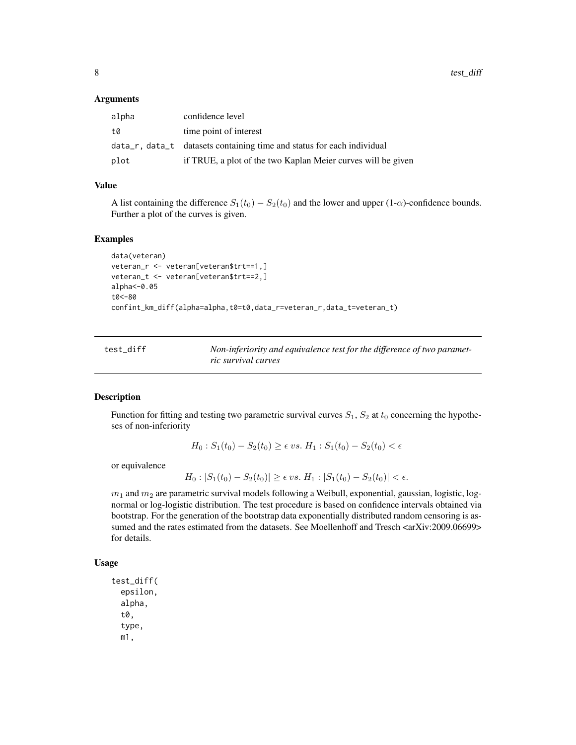#### <span id="page-7-0"></span>**Arguments**

| alpha | confidence level                                                       |
|-------|------------------------------------------------------------------------|
| t0    | time point of interest                                                 |
|       | data_r, data_t datasets containing time and status for each individual |
| plot  | if TRUE, a plot of the two Kaplan Meier curves will be given           |

#### Value

A list containing the difference  $S_1(t_0) - S_2(t_0)$  and the lower and upper (1- $\alpha$ )-confidence bounds. Further a plot of the curves is given.

#### Examples

```
data(veteran)
veteran_r <- veteran[veteran$trt==1,]
veteran_t <- veteran[veteran$trt==2,]
alpha<-0.05
t0<-80
confint_km_diff(alpha=alpha,t0=t0,data_r=veteran_r,data_t=veteran_t)
```

| test diff | Non-inferiority and equivalence test for the difference of two paramet- |
|-----------|-------------------------------------------------------------------------|
|           | ric survival curves                                                     |

#### Description

Function for fitting and testing two parametric survival curves  $S_1$ ,  $S_2$  at  $t_0$  concerning the hypotheses of non-inferiority

$$
H_0: S_1(t_0) - S_2(t_0) \ge \epsilon \, vs. \, H_1: S_1(t_0) - S_2(t_0) < \epsilon
$$

or equivalence

$$
H_0: |S_1(t_0) - S_2(t_0)| \ge \epsilon \, vs. \, H_1: |S_1(t_0) - S_2(t_0)| < \epsilon.
$$

 $m_1$  and  $m_2$  are parametric survival models following a Weibull, exponential, gaussian, logistic, lognormal or log-logistic distribution. The test procedure is based on confidence intervals obtained via bootstrap. For the generation of the bootstrap data exponentially distributed random censoring is assumed and the rates estimated from the datasets. See Moellenhoff and Tresch <arXiv:2009.06699> for details.

#### Usage

```
test_diff(
  epsilon,
  alpha,
  t0,
  type,
  m1,
```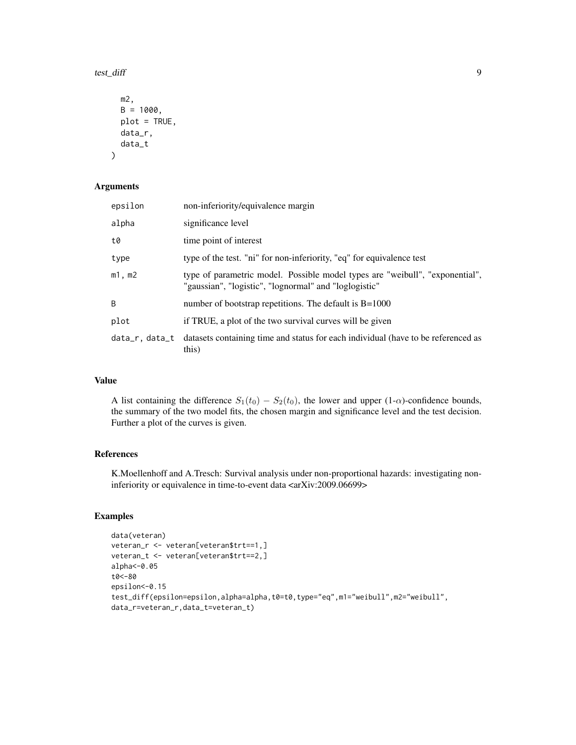test\_diff 9

```
m2,
 B = 1000,
 plot = TRUE,
 data_r,
 data_t
)
```
#### Arguments

| epsilon       | non-inferiority/equivalence margin                                                                                                    |
|---------------|---------------------------------------------------------------------------------------------------------------------------------------|
| alpha         | significance level                                                                                                                    |
| t0            | time point of interest                                                                                                                |
| type          | type of the test. "ni" for non-inferiority, "eq" for equivalence test                                                                 |
| m1, m2        | type of parametric model. Possible model types are "weibull", "exponential",<br>"gaussian", "logistic", "lognormal" and "loglogistic" |
| B             | number of bootstrap repetitions. The default is $B=1000$                                                                              |
| plot          | if TRUE, a plot of the two survival curves will be given                                                                              |
| data_r.data_t | datasets containing time and status for each individual (have to be referenced as<br>this)                                            |

#### Value

A list containing the difference  $S_1(t_0) - S_2(t_0)$ , the lower and upper (1- $\alpha$ )-confidence bounds, the summary of the two model fits, the chosen margin and significance level and the test decision. Further a plot of the curves is given.

#### References

K.Moellenhoff and A.Tresch: Survival analysis under non-proportional hazards: investigating noninferiority or equivalence in time-to-event data <arXiv:2009.06699>

#### Examples

```
data(veteran)
veteran_r <- veteran[veteran$trt==1,]
veteran_t <- veteran[veteran$trt==2,]
alpha<-0.05
t0<-80
epsilon<-0.15
test_diff(epsilon=epsilon,alpha=alpha,t0=t0,type="eq",m1="weibull",m2="weibull",
data_r=veteran_r,data_t=veteran_t)
```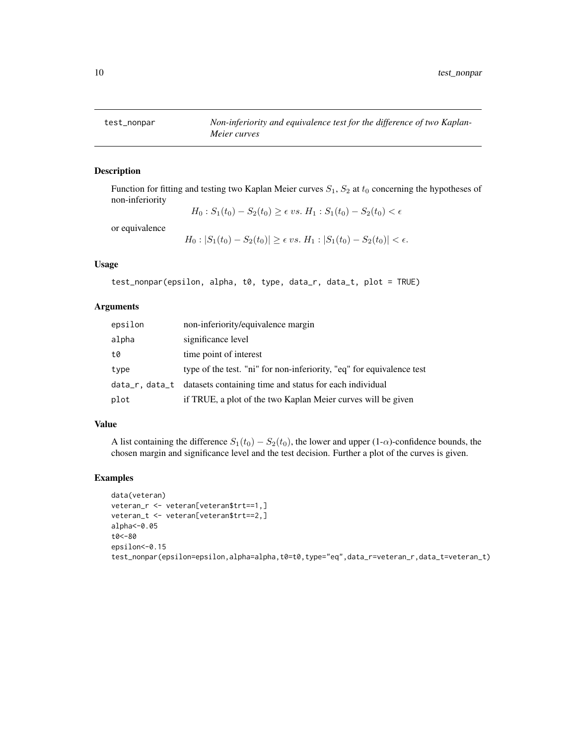<span id="page-9-0"></span>

#### Description

Function for fitting and testing two Kaplan Meier curves  $S_1$ ,  $S_2$  at  $t_0$  concerning the hypotheses of non-inferiority

$$
H_0: S_1(t_0) - S_2(t_0) \ge \epsilon \ vs. \ H_1: S_1(t_0) - S_2(t_0) < \epsilon
$$

or equivalence

$$
H_0: |S_1(t_0) - S_2(t_0)| \ge \epsilon \ vs. \ H_1: |S_1(t_0) - S_2(t_0)| < \epsilon
$$

#### Usage

test\_nonpar(epsilon, alpha, t0, type, data\_r, data\_t, plot = TRUE)

#### Arguments

| epsilon | non-inferiority/equivalence margin                                     |
|---------|------------------------------------------------------------------------|
| alpha   | significance level                                                     |
| t0      | time point of interest                                                 |
| type    | type of the test. "ni" for non-inferiority, "eq" for equivalence test  |
|         | data_r, data_t datasets containing time and status for each individual |
| plot    | if TRUE, a plot of the two Kaplan Meier curves will be given           |

#### Value

A list containing the difference  $S_1(t_0) - S_2(t_0)$ , the lower and upper (1- $\alpha$ )-confidence bounds, the chosen margin and significance level and the test decision. Further a plot of the curves is given.

#### Examples

```
data(veteran)
veteran_r <- veteran[veteran$trt==1,]
veteran_t <- veteran[veteran$trt==2,]
alpha<-0.05
t0<-80
epsilon<-0.15
test_nonpar(epsilon=epsilon,alpha=alpha,t0=t0,type="eq",data_r=veteran_r,data_t=veteran_t)
```